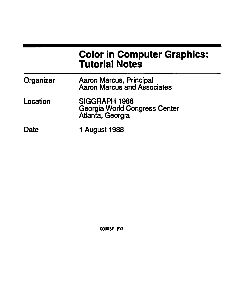# **Color in Computer Graphics: Tutorial Notes**

| Organizer | <b>Aaron Marcus, Principal</b><br><b>Aaron Marcus and Associates</b>      |  |  |
|-----------|---------------------------------------------------------------------------|--|--|
| Location  | SIGGRAPH 1988<br><b>Georgia World Congress Center</b><br>Atlanta, Georgia |  |  |
| Date      | <b>1 August 1988</b>                                                      |  |  |

COURSE #17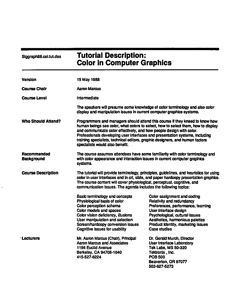| Siggraph88.col.tut.des           | <b>Tutorial Description:</b><br><b>Color in Computer Graphics</b>                                                                                                                                                                                                                                                                                                                                                                             |                                                                                                                                                                                                                                                                                 |  |
|----------------------------------|-----------------------------------------------------------------------------------------------------------------------------------------------------------------------------------------------------------------------------------------------------------------------------------------------------------------------------------------------------------------------------------------------------------------------------------------------|---------------------------------------------------------------------------------------------------------------------------------------------------------------------------------------------------------------------------------------------------------------------------------|--|
| <b>Version</b>                   | 15 May 1988                                                                                                                                                                                                                                                                                                                                                                                                                                   |                                                                                                                                                                                                                                                                                 |  |
| <b>Course Chair</b>              | Aaron Marcus                                                                                                                                                                                                                                                                                                                                                                                                                                  |                                                                                                                                                                                                                                                                                 |  |
| <b>Course Level</b>              | Intermediate                                                                                                                                                                                                                                                                                                                                                                                                                                  |                                                                                                                                                                                                                                                                                 |  |
|                                  | display and manipulation issues in current computer graphics systems.                                                                                                                                                                                                                                                                                                                                                                         | The speakers will presume some knowledge of color terminology and also color                                                                                                                                                                                                    |  |
| <b>Who Should Attend?</b>        | Programmers and managers should attend this course if they kneed to know how<br>human beings see color, what colors to select, how to select them, how to display<br>and communicate color effectively, and how people design with color.<br>Professionals developing user interfaces and presentation systems, including<br>training specialists, technical editors, graphic designers, and human factors<br>specialists would also benefit. |                                                                                                                                                                                                                                                                                 |  |
| Recommended<br><b>Background</b> | The course assumes attendees have some familiarity with color terminology and<br>with color appearance and interaction issues in current computer graphics<br>systems.                                                                                                                                                                                                                                                                        |                                                                                                                                                                                                                                                                                 |  |
| <b>Course Description</b>        | The tutorial will provide terminology, principles, guidelines, and heuristics for using<br>color in user interlaces and in crt, slide, and paper hardcopy presentation graphics.<br>The course content will cover physiological, perceptual, cognitive, and<br>communication issues. The agenda includes the following topics:                                                                                                                |                                                                                                                                                                                                                                                                                 |  |
| <b>Lecturers</b>                 | <b>Basic terminology and concepts</b><br>Physiological basis of color<br>Color perception schema<br>Color models and spaces<br>Color vision deficiency, illusions<br>User manipulation and selection<br>Screen/hardcopy conversion issues<br>Cognitive issues for usability<br>Mr. Aaron Marcus (Chair), Principal                                                                                                                            | Color assignment and coding<br>Relativity and redundancy<br>Preferences, performance, teaming<br>User interface design<br>Psychological, cultural issues<br>Aesthetics, harmonious palettes<br>Product identity, marketing issues<br>Case studies<br>Dr. Gerald Murch, Director |  |
|                                  | <b>Aaron Marcus and Associates</b><br>1196 Euclid Avenue<br>Berkeley, CA 94708-1640<br>415-527-6224                                                                                                                                                                                                                                                                                                                                           | <b>User Interface Laboratory</b><br><b>Tek Labs, MS 50-320</b><br>Tektronix, Inc.<br><b>POB 500</b><br>Beaverton, OR 97077<br>503-627-5273                                                                                                                                      |  |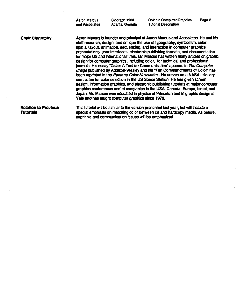Aaron Marcus and Associates Singraph 1988 Atlanta, Georgia

Chair Biography Relation to Previous Aaron Marcus is founder and principal of Aaron Marcus and Associates. He and his staff research, design, and critique the use of typography, symbolism, color, spatial layout, animation, sequencing, and interaction in computer graphics presentations, user Interfaces, electronic publishing formats, and documentation for major US and international firms. Mr. Marcus has written many articles on graphic design for computer graphics, Including color, for technical end professional journals. His essay "Color: A Tool for Communication" appears In The Computer Image published by Addison-Wesley and his "Ten Commandments of Color" has been reprinted in the Pantone Color Newsletter. He serves on a NASA advisory committee for color selection in the US Space Station. He has given screen design, information graphics, and electronic publishing tutorials at major computer graphics conferences end at companies In ths USA, Canada, Europe, Israel, and Japan. Mr. Marcus was educated In physics at Princeton end In graphic design at Yate end has taught computer graphics since 1970.

Tutorials

This tutorial will be similar to the version presented last year, but will include a special emphasis on matching color between crt end hardcopy media. As before, cognitive end communication Issues wiD be emphasized.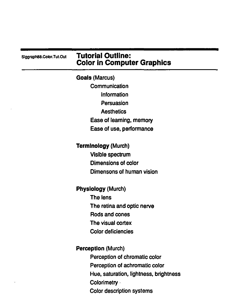|  |  |  | Siggraph88.Color.Tut.Out |
|--|--|--|--------------------------|
|--|--|--|--------------------------|

### **Tutorial Outline:** Color in Computer Graphics

Goals (Marcus)

**Communication** Information **Persuasion Aesthetics** Ease of learning, memory Ease of use, performance

Terminology (Murch)

Visible spectrum Dimensions of color Dimensons of human vision

Physiology (Murch)

The lens The retina and optic nerve Rods and cones The visual cortex Color deficiencies

Perception (Murch) Perception of chromatic color Perception of achromatic color Hue, saturation, lightness, brightness Colorimetry **·** Color description systems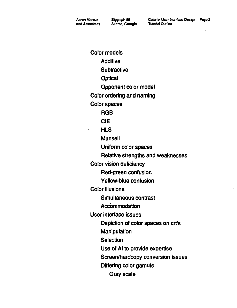Color models **Additive Subtractive Optical** Opponent color model Color ordering and naming Color spaces RGB CIE **HLS** Munsell Uniform color spaces Relative strengths and weaknesses Color vision deficiency Red-green confusion Yellow-blue confusion Color illusions Simultaneous contrast **Accommodation** User interface issues Depiction of color spaces on crt's Manipulation **Selection** Use of AI to provide expertise Screen/hardcopy conversion issues Differing color gamuts Gray scale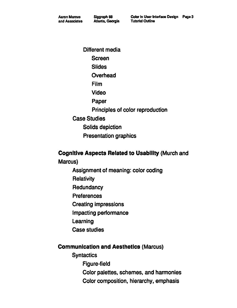Aalon Marcus and Associates

Different media **Screen Slides** Overhead Film Video Paper Principles of color reproduction Case Studies Solids depiction Presentation graphics

#### Cognitive Aspects Related to Usability (Murch and

Marcus)

- Assignment of meaning: color coding
- **Relativity**
- **Redundancy**
- **Preferences**
- Creating impressions
- Impacting performance
- Learning
- Case studies

#### Communication and Aesthetics (Marcus)

**Syntactics** Figure-field Color palettes, schemes, and harmonies Color composition, hierarchy, emphasis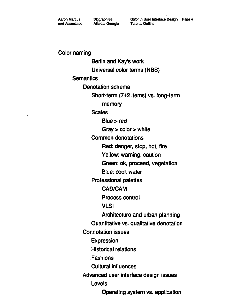Aaron Marcus and Associates Siggraph 88 Atlanta. Georgia

Color in User Interlace Design Page 4 Tutorial Outline

Color naming

Berlin and Kay's work Universal color terms (NBS) **Semantics** Denotation schema Short-term (7±2 items) vs. long-term memory **Scales**  $Blue > red$ Gray > color > white Common denotations Red: danger, stop, hot, fire Yellow: warning, caution Green: ok, proceed, vegetation Blue: cool, water Professional palettes CAD/CAM Process control **VLSI** Architecture and urban planning Quantitative vs. qualitative denotation Connotation issues **Expression** Historical relations .Fashions Cultural influences Advanced user interface design issues Levels Operating system vs. application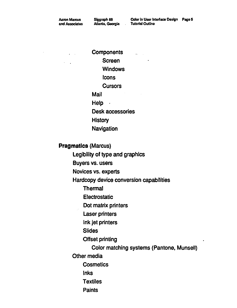Aaron Marcus and Assoclales

Siggraph 88 Atlanta, Georgia Color In User Interface Design Page 5 Tutorial Outline

 $\mathcal{L}_{\mathrm{max}}$  .

**Components Screen Windows** Icons **Cursors** Mail Help  $\cdot$ Desk accessories **History** Navigation

**Pragmatics** (Marcus)

Legibility of type and graphics

Buyers vs. users

Novices vs. experts

Hardcopy device conversion capabilities

Thermal

**Electrostatic** 

Dot matrix printers

Laser printers

Ink jet printers

Slides

Offset printing

Color matching systems (Pantone, Munsell)

Other media

**Cosmetics** 

Inks

**Textiles** 

**Paints**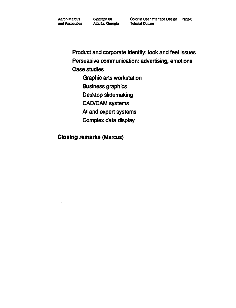Aaron Marcus and Associates Siggraph 88 Allanla, Georgia

Product and corporate identity: look and feel issues Persuasive communication: advertising, emotions Case studies

Graphic arts workstation

Business graphics

Desktop slidemaking

CAD/CAM systems

AI and expert systems

Complex data display

Closing remarks (Marcus)